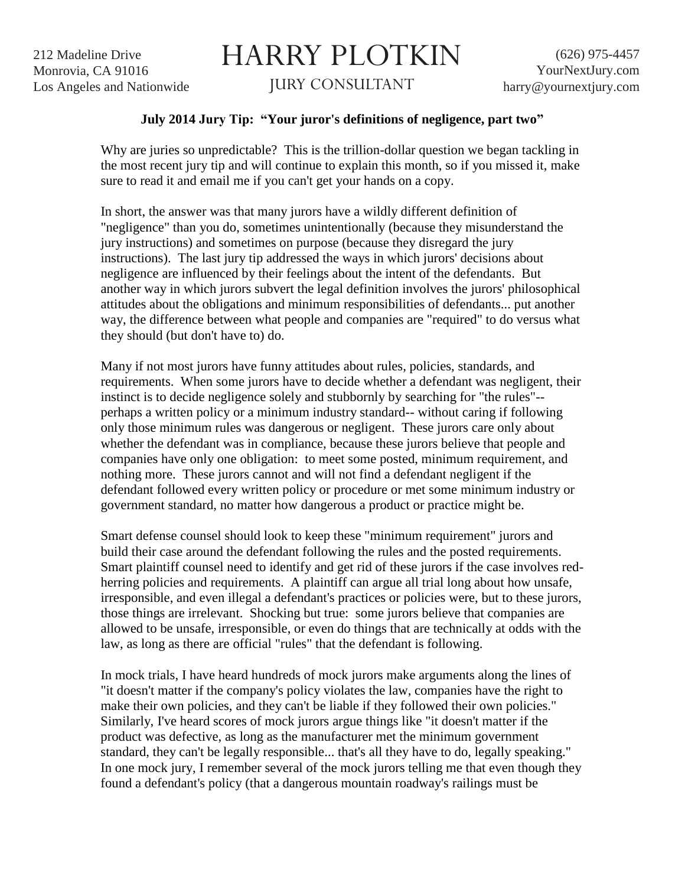212 Madeline Drive Monrovia, CA 91016 Los Angeles and Nationwide

## HARRY PLOTKIN

JURY CONSULTANT

## **July 2014 Jury Tip: "Your juror's definitions of negligence, part two"**

Why are juries so unpredictable? This is the trillion-dollar question we began tackling in the most recent jury tip and will continue to explain this month, so if you missed it, make sure to read it and email me if you can't get your hands on a copy.

In short, the answer was that many jurors have a wildly different definition of "negligence" than you do, sometimes unintentionally (because they misunderstand the jury instructions) and sometimes on purpose (because they disregard the jury instructions). The last jury tip addressed the ways in which jurors' decisions about negligence are influenced by their feelings about the intent of the defendants. But another way in which jurors subvert the legal definition involves the jurors' philosophical attitudes about the obligations and minimum responsibilities of defendants... put another way, the difference between what people and companies are "required" to do versus what they should (but don't have to) do.

Many if not most jurors have funny attitudes about rules, policies, standards, and requirements. When some jurors have to decide whether a defendant was negligent, their instinct is to decide negligence solely and stubbornly by searching for "the rules"- perhaps a written policy or a minimum industry standard-- without caring if following only those minimum rules was dangerous or negligent. These jurors care only about whether the defendant was in compliance, because these jurors believe that people and companies have only one obligation: to meet some posted, minimum requirement, and nothing more. These jurors cannot and will not find a defendant negligent if the defendant followed every written policy or procedure or met some minimum industry or government standard, no matter how dangerous a product or practice might be.

Smart defense counsel should look to keep these "minimum requirement" jurors and build their case around the defendant following the rules and the posted requirements. Smart plaintiff counsel need to identify and get rid of these jurors if the case involves redherring policies and requirements. A plaintiff can argue all trial long about how unsafe, irresponsible, and even illegal a defendant's practices or policies were, but to these jurors, those things are irrelevant. Shocking but true: some jurors believe that companies are allowed to be unsafe, irresponsible, or even do things that are technically at odds with the law, as long as there are official "rules" that the defendant is following.

In mock trials, I have heard hundreds of mock jurors make arguments along the lines of "it doesn't matter if the company's policy violates the law, companies have the right to make their own policies, and they can't be liable if they followed their own policies." Similarly, I've heard scores of mock jurors argue things like "it doesn't matter if the product was defective, as long as the manufacturer met the minimum government standard, they can't be legally responsible... that's all they have to do, legally speaking." In one mock jury, I remember several of the mock jurors telling me that even though they found a defendant's policy (that a dangerous mountain roadway's railings must be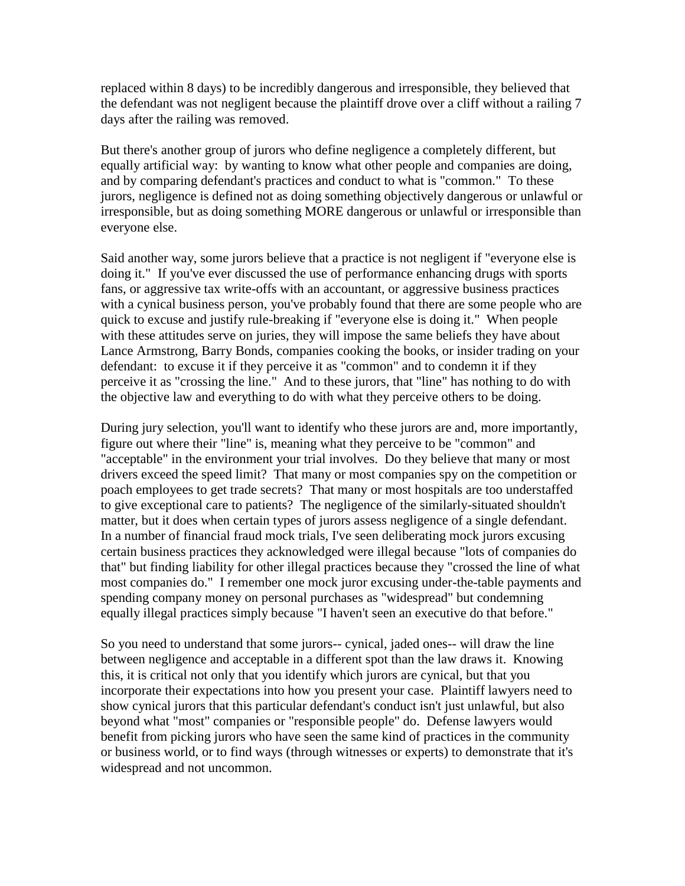replaced within 8 days) to be incredibly dangerous and irresponsible, they believed that the defendant was not negligent because the plaintiff drove over a cliff without a railing 7 days after the railing was removed.

But there's another group of jurors who define negligence a completely different, but equally artificial way: by wanting to know what other people and companies are doing, and by comparing defendant's practices and conduct to what is "common." To these jurors, negligence is defined not as doing something objectively dangerous or unlawful or irresponsible, but as doing something MORE dangerous or unlawful or irresponsible than everyone else.

Said another way, some jurors believe that a practice is not negligent if "everyone else is doing it." If you've ever discussed the use of performance enhancing drugs with sports fans, or aggressive tax write-offs with an accountant, or aggressive business practices with a cynical business person, you've probably found that there are some people who are quick to excuse and justify rule-breaking if "everyone else is doing it." When people with these attitudes serve on juries, they will impose the same beliefs they have about Lance Armstrong, Barry Bonds, companies cooking the books, or insider trading on your defendant: to excuse it if they perceive it as "common" and to condemn it if they perceive it as "crossing the line." And to these jurors, that "line" has nothing to do with the objective law and everything to do with what they perceive others to be doing.

During jury selection, you'll want to identify who these jurors are and, more importantly, figure out where their "line" is, meaning what they perceive to be "common" and "acceptable" in the environment your trial involves. Do they believe that many or most drivers exceed the speed limit? That many or most companies spy on the competition or poach employees to get trade secrets? That many or most hospitals are too understaffed to give exceptional care to patients? The negligence of the similarly-situated shouldn't matter, but it does when certain types of jurors assess negligence of a single defendant. In a number of financial fraud mock trials, I've seen deliberating mock jurors excusing certain business practices they acknowledged were illegal because "lots of companies do that" but finding liability for other illegal practices because they "crossed the line of what most companies do." I remember one mock juror excusing under-the-table payments and spending company money on personal purchases as "widespread" but condemning equally illegal practices simply because "I haven't seen an executive do that before."

So you need to understand that some jurors-- cynical, jaded ones-- will draw the line between negligence and acceptable in a different spot than the law draws it. Knowing this, it is critical not only that you identify which jurors are cynical, but that you incorporate their expectations into how you present your case. Plaintiff lawyers need to show cynical jurors that this particular defendant's conduct isn't just unlawful, but also beyond what "most" companies or "responsible people" do. Defense lawyers would benefit from picking jurors who have seen the same kind of practices in the community or business world, or to find ways (through witnesses or experts) to demonstrate that it's widespread and not uncommon.